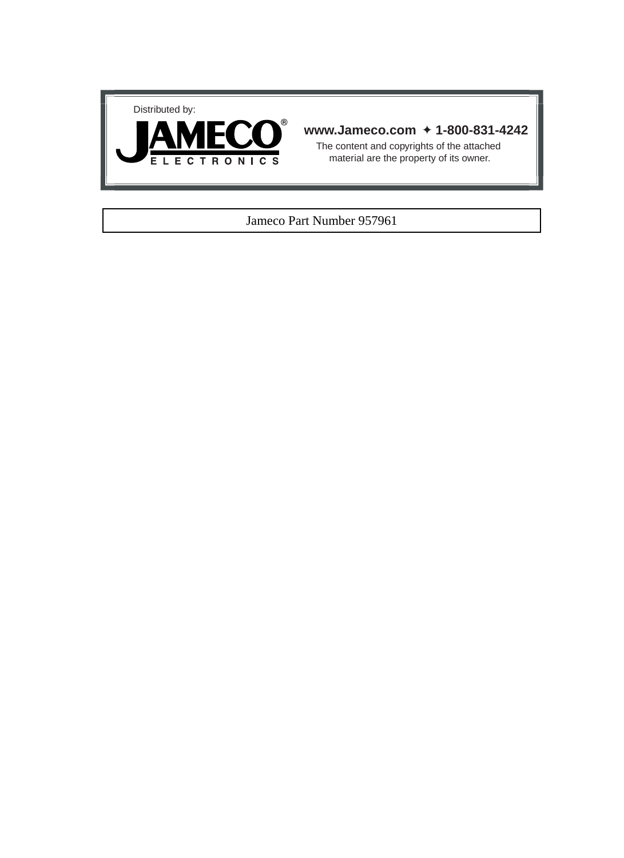



# **www.Jameco.com** ✦ **1-800-831-4242**

The content and copyrights of the attached material are the property of its owner.

# Jameco Part Number 957961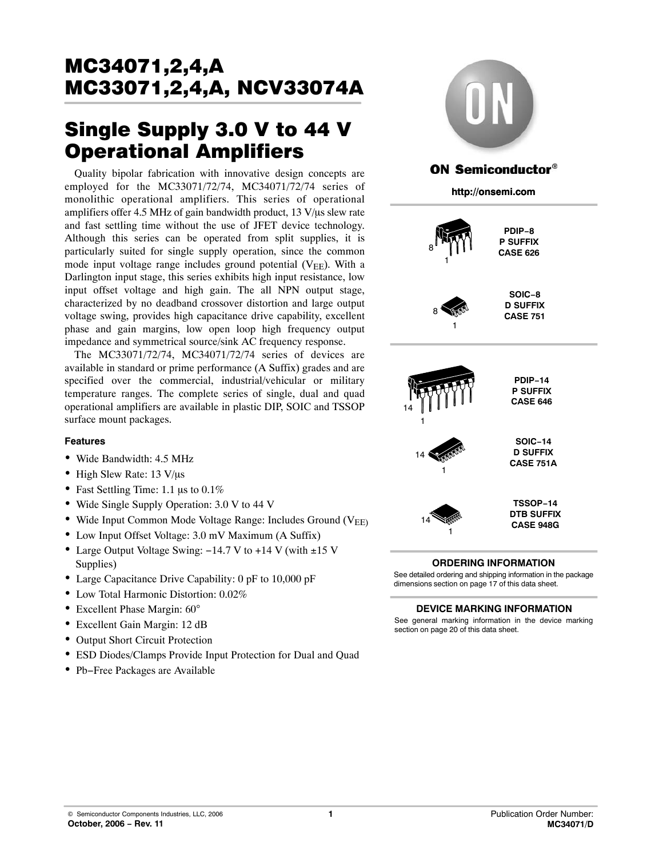# MC33071.2.4.A  $\frac{1}{2}$

# Single Supply 3.0 V to 44 V<br>Operational Amplifiers

Operational Amplifiers Quality bipolar fabrication with innovative design concepts are employed for the MC33071/72/74, MC34071/72/74 series of monolithic operational amplifiers. This series of operational amplifiers offer 4.5 MHz of gain bandwidth product,  $13 \text{ V/}\mu\text{s}$  slew rate and fast settling time without the use of JFET device technology. Although this series can be operated from split supplies, it is particularly suited for single supply operation, since the common mode input voltage range includes ground potential  $(V_{EF})$ . With a Darlington input stage, this series exhibits high input resistance, low input offset voltage and high gain. The all NPN output stage, characterized by no deadband crossover distortion and large output voltage swing, provides high capacitance drive capability, excellent phase and gain margins, low open loop high frequency output impedance and symmetrical source/sink AC frequency response.

The MC33071/72/74, MC34071/72/74 series of devices are available in standard or prime performance (A Suffix) grades and are specified over the commercial, industrial/vehicular or military temperature ranges. The complete series of single, dual and quad operational amplifiers are available in plastic DIP, SOIC and TSSOP surface mount packages.

## **Features**

- Wide Bandwidth: 4.5 MHz
- $\bullet$  High Slew Rate: 13 V/ $\mu$ s
- Fast Settling Time: 1.1  $\mu$ s to 0.1%
- Wide Single Supply Operation: 3.0 V to 44 V
- Wide Input Common Mode Voltage Range: Includes Ground  $(V_{\text{FF}})$
- Low Input Offset Voltage: 3.0 mV Maximum (A Suffix)
- Large Output Voltage Swing: −14.7 V to +14 V (with ±15 V Supplies)
- Large Capacitance Drive Capability: 0 pF to 10,000 pF
- Low Total Harmonic Distortion: 0.02%
- Excellent Phase Margin: 60°
- Excellent Gain Margin: 12 dB
- Output Short Circuit Protection
- ESD Diodes/Clamps Provide Input Protection for Dual and Quad
- Pb−Free Packages are Available













1

14

**TSSOP−14 DTB SUFFIX CASE 948G**

# **ORDERING INFORMATION**

See detailed ordering and shipping information in the package dimensions section on page [17 of this data sheet.](#page-17-0)

### **DEVICE MARKING INFORMATION**

See general marking information in the device marking section on page [20 of this data sheet.](#page-20-0)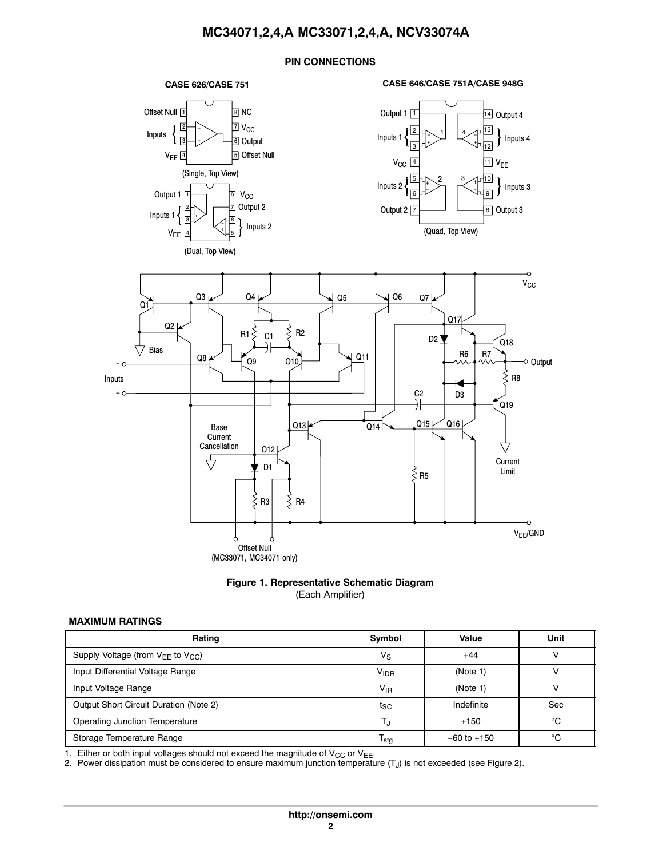## **PIN CONNECTIONS**

#### **CASE 626/CASE 751**









#### **MAXIMUM RATINGS**

| Rating                                      | Symbol           | Value           | Unit |
|---------------------------------------------|------------------|-----------------|------|
| Supply Voltage (from $V_{EE}$ to $V_{CC}$ ) | Vs               | $+44$           |      |
| Input Differential Voltage Range            | V <sub>IDR</sub> | (Note 1)        |      |
| Input Voltage Range                         | $V_{IR}$         | (Note 1)        |      |
| Output Short Circuit Duration (Note 2)      | $t_{\rm SC}$     | Indefinite      | Sec  |
| <b>Operating Junction Temperature</b>       |                  | $+150$          | °€   |
| Storage Temperature Range                   | I <sub>sta</sub> | $-60$ to $+150$ | ∘∩   |

1. Either or both input voltages should not exceed the magnitude of  $V_{CC}$  or  $V_{EE}$ .

2. Power dissipation must be considered to ensure maximum junction temperature  $(T<sub>J</sub>)$  is not exceeded (see Figure [2\)](#page-4-0).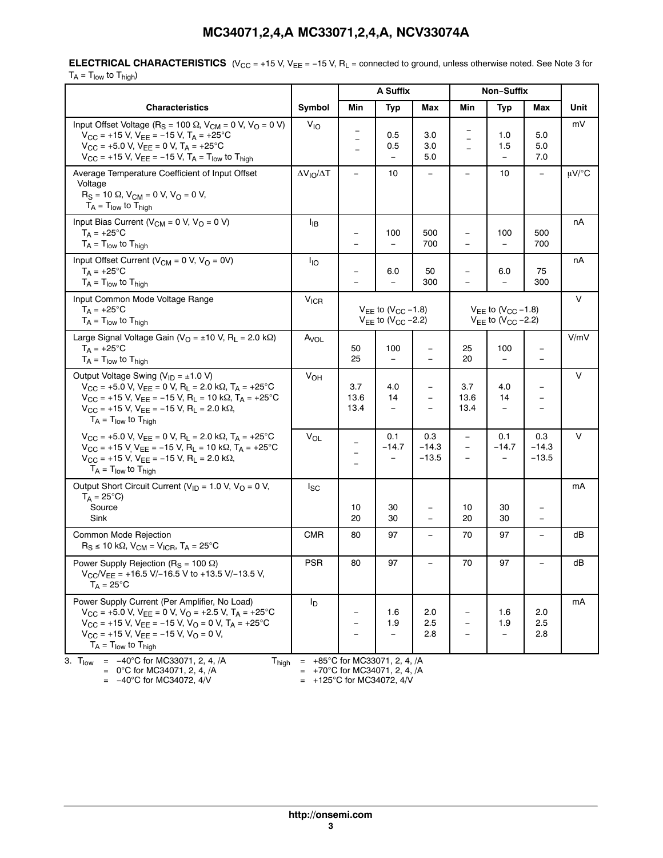**ELECTRICAL CHARACTERISTICS** (V<sub>CC</sub> = +15 V, V<sub>EE</sub> = −15 V, R<sub>L</sub> = connected to ground, unless otherwise noted. See Note 3 for  $T_A = T_{low}$  to  $T_{high}$ )

|                                                                                                                                                                                                                                                                                                                                                                      |                          | A Suffix            |                                                              |                                               | Non-Suffix                                                   |                                            |                         |            |
|----------------------------------------------------------------------------------------------------------------------------------------------------------------------------------------------------------------------------------------------------------------------------------------------------------------------------------------------------------------------|--------------------------|---------------------|--------------------------------------------------------------|-----------------------------------------------|--------------------------------------------------------------|--------------------------------------------|-------------------------|------------|
| <b>Characteristics</b>                                                                                                                                                                                                                                                                                                                                               | Symbol                   | Min                 | Typ                                                          | Max                                           | Min                                                          | Typ                                        | Max                     | Unit       |
| Input Offset Voltage (R <sub>S</sub> = 100 $\Omega$ , V <sub>CM</sub> = 0 V, V <sub>O</sub> = 0 V)<br>$V_{CC}$ = +15 V, V <sub>EE</sub> = -15 V, T <sub>A</sub> = +25°C<br>$V_{CC}$ = +5.0 V, $V_{EE}$ = 0 V, $T_A$ = +25°C<br>$V_{CC}$ = +15 V, $V_{EE}$ = -15 V, $T_A$ = $T_{low}$ to $T_{high}$                                                                   | $V_{10}$                 |                     | 0.5<br>0.5<br>$\overline{\phantom{0}}$                       | 3.0<br>3.0<br>5.0                             |                                                              | 1.0<br>1.5<br>$\overline{\phantom{0}}$     | 5.0<br>5.0<br>7.0       | mV         |
| Average Temperature Coefficient of Input Offset<br>Voltage<br>$R_S = 10 \Omega$ , $V_{CM} = 0 V$ , $V_O = 0 V$ ,<br>$T_A = T_{low}$ to $T_{hiah}$                                                                                                                                                                                                                    | $\Delta V_{IO}/\Delta T$ |                     | 10                                                           | $\overline{\phantom{0}}$                      |                                                              | 10                                         |                         | $\mu$ V/°C |
| Input Bias Current ( $V_{CM}$ = 0 V, $V_{O}$ = 0 V)<br>$T_A = +25$ °C<br>$T_A = T_{low}$ to $T_{high}$                                                                                                                                                                                                                                                               | ŀв                       |                     | 100<br>$\equiv$                                              | 500<br>700                                    | $\qquad \qquad \  \, -$                                      | 100<br>$\qquad \qquad -$                   | 500<br>700              | nA         |
| Input Offset Current ( $V_{CM} = 0$ V, $V_{O} = 0V$ )<br>$T_A = +25$ °C<br>$T_A = T_{low}$ to $T_{high}$                                                                                                                                                                                                                                                             | $I_{IO}$                 |                     | 6.0<br>$\overline{a}$                                        | 50<br>300                                     |                                                              | 6.0<br>$\equiv$                            | 75<br>300               | nA         |
| Input Common Mode Voltage Range<br>$T_A = +25^{\circ}C$<br>$T_A = T_{low}$ to $T_{high}$                                                                                                                                                                                                                                                                             | $V_{ICR}$                |                     | $V_{FF}$ to $(V_{CC} - 1.8)$<br>$V_{EE}$ to $(V_{CC} - 2.2)$ |                                               | $V_{EE}$ to $(V_{CC} - 1.8)$<br>$V_{EE}$ to $(V_{CC} - 2.2)$ |                                            |                         | $\vee$     |
| Large Signal Voltage Gain ( $V_O = \pm 10$ V, R <sub>L</sub> = 2.0 k $\Omega$ )<br>$T_A = +25^{\circ}C$<br>$T_A = T_{low}$ to $T_{high}$                                                                                                                                                                                                                             | A <sub>VOL</sub>         | 50<br>25            | 100<br>$\qquad \qquad -$                                     | $\equiv$                                      | 25<br>20                                                     | 100<br>$\qquad \qquad -$                   |                         | V/mV       |
| Output Voltage Swing ( $V_{ID} = \pm 1.0 V$ )<br>$V_{CC}$ = +5.0 V, V <sub>EE</sub> = 0 V, R <sub>L</sub> = 2.0 k $\Omega$ , T <sub>A</sub> = +25 °C<br>$V_{CC}$ = +15 V, $V_{EE}$ = -15 V, R <sub>L</sub> = 10 k $\Omega$ , T <sub>A</sub> = +25°C<br>$V_{CC}$ = +15 V, V <sub>FF</sub> = -15 V, R <sub>I</sub> = 2.0 k $\Omega$ ,<br>$T_A = T_{low}$ to $T_{high}$ | $V_{OH}$                 | 3.7<br>13.6<br>13.4 | 4.0<br>14<br>$\qquad \qquad -$                               | $\overline{\phantom{0}}$                      | 3.7<br>13.6<br>13.4                                          | 4.0<br>14<br>$\qquad \qquad -$             |                         | V          |
| $V_{CC}$ = +5.0 V, $V_{FF}$ = 0 V, R <sub>1</sub> = 2.0 k $\Omega$ , T <sub>A</sub> = +25 °C<br>$V_{CC}$ = +15 V V <sub>EE</sub> = -15 V, R <sub>L</sub> = 10 k $\Omega$ , T <sub>A</sub> = +25 °C<br>$V_{CC}$ = +15 V, V <sub>EE</sub> = -15 V, R <sub>L</sub> = 2.0 k $\Omega$ ,<br>$T_A = T_{low}$ to $T_{high}$                                                  | $V_{OL}$                 |                     | 0.1<br>$-14.7$                                               | 0.3<br>$-14.3$<br>$-13.5$                     | $\qquad \qquad -$<br>$\equiv$                                | 0.1<br>$-14.7$<br>$\overline{\phantom{0}}$ | 0.3<br>-14.3<br>$-13.5$ | V          |
| Output Short Circuit Current ( $V_{ID}$ = 1.0 V, $V_{O}$ = 0 V,<br>$T_A = 25^{\circ}C$<br>Source<br>Sink                                                                                                                                                                                                                                                             | $I_{SC}$                 | 10<br>20            | 30<br>30                                                     | $\qquad \qquad -$<br>$\overline{\phantom{0}}$ | 10<br>20                                                     | 30<br>30                                   |                         | mA         |
| <b>Common Mode Rejection</b><br>$R_S \le 10 \text{ k}\Omega$ , $V_{CM} = V_{ICR}$ , $T_A = 25^{\circ}\text{C}$                                                                                                                                                                                                                                                       | <b>CMR</b>               | 80                  | 97                                                           |                                               | 70                                                           | 97                                         |                         | dB         |
| Power Supply Rejection (R <sub>S</sub> = 100 $\Omega$ )<br>$V_{CC}/V_{EE}$ = +16.5 V/-16.5 V to +13.5 V/-13.5 V,<br>$T_A = 25$ °C                                                                                                                                                                                                                                    | <b>PSR</b>               | 80                  | 97                                                           |                                               | 70                                                           | 97                                         |                         | dB         |
| Power Supply Current (Per Amplifier, No Load)<br>$V_{CC}$ = +5.0 V, $V_{EE}$ = 0 V, $V_{O}$ = +2.5 V, $T_A$ = +25°C<br>$V_{CC}$ = +15 V, $V_{FF}$ = -15 V, $V_{O}$ = 0 V, $T_A$ = +25 °C<br>$V_{CC}$ = +15 V, $V_{EE}$ = -15 V, $V_{O}$ = 0 V,<br>$T_A = T_{low}$ to $T_{high}$                                                                                      | l <sub>D</sub>           |                     | 1.6<br>1.9<br>$\overline{\phantom{a}}$                       | 2.0<br>2.5<br>2.8                             |                                                              | 1.6<br>1.9<br>$\qquad \qquad -$            | 2.0<br>2.5<br>2.8       | mA         |
| $= -40^{\circ}$ C for MC33071, 2, 4, /A<br>3. $T_{low}$<br><b>T</b> <sub>high</sub><br>$= 0^{\circ}$ C for MC34071, 2, 4, /A                                                                                                                                                                                                                                         | $\quad \  \  =$          |                     | +85°C for MC33071, 2, 4, /A<br>+70°C for MC34071, 2, 4, /A   |                                               |                                                              |                                            |                         |            |

 $= -40^{\circ}$ C for MC34072, 4/V  $= +125^{\circ}$ C for MC34072, 4/V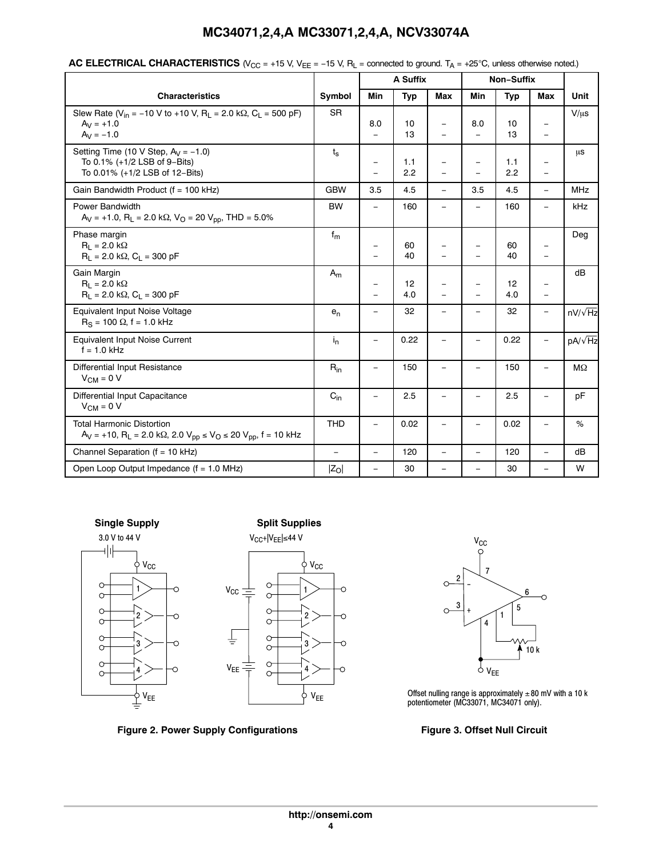|  | MC34071,2,4,A MC33071,2,4,A, NCV33074A |
|--|----------------------------------------|
|--|----------------------------------------|

<span id="page-4-0"></span>

| AC ELECTRICAL CHARACTERISTICS ( $V_{CC}$ = +15 V, V <sub>EE</sub> = -15 V, R <sub>L</sub> = connected to ground. T <sub>A</sub> = +25°C, unless otherwise noted.) |  |
|-------------------------------------------------------------------------------------------------------------------------------------------------------------------|--|
|-------------------------------------------------------------------------------------------------------------------------------------------------------------------|--|

|                                                                                                                                                  |                   | A Suffix                                      |            | Non-Suffix                     |                                                      |            |                                                      |                |
|--------------------------------------------------------------------------------------------------------------------------------------------------|-------------------|-----------------------------------------------|------------|--------------------------------|------------------------------------------------------|------------|------------------------------------------------------|----------------|
| <b>Characteristics</b>                                                                                                                           | Symbol            | Min                                           | Typ        | <b>Max</b>                     | Min                                                  | <b>Typ</b> | Max                                                  | Unit           |
| Slew Rate ( $V_{in}$ = -10 V to +10 V, R <sub>L</sub> = 2.0 k $\Omega$ , C <sub>L</sub> = 500 pF)<br>$A_V = +1.0$<br>$A_V = -1.0$                | <b>SR</b>         | 8.0<br>$\equiv$                               | 10<br>13   |                                | 8.0                                                  | 10<br>13   | $\qquad \qquad =$                                    | $V/\mu s$      |
| Setting Time (10 V Step, $A_V = -1.0$ )<br>To 0.1% (+1/2 LSB of 9-Bits)<br>To 0.01% (+1/2 LSB of 12-Bits)                                        | $t_{\rm s}$       | $\qquad \qquad -$<br>$\overline{\phantom{0}}$ | 1.1<br>2.2 | $\equiv$                       | $\overline{\phantom{0}}$                             | 1.1<br>2.2 | $\overline{\phantom{m}}$<br>$\equiv$                 | μs             |
| Gain Bandwidth Product (f = 100 kHz)                                                                                                             | <b>GBW</b>        | 3.5                                           | 4.5        | $\overline{\phantom{0}}$       | 3.5                                                  | 4.5        | $\overline{\phantom{0}}$                             | <b>MHz</b>     |
| Power Bandwidth<br>$A_V = +1.0$ , $R_L = 2.0$ k $\Omega$ , $V_O = 20$ $V_{DD}$ , THD = 5.0%                                                      | <b>BW</b>         | $\overline{\phantom{0}}$                      | 160        | L,                             |                                                      | 160        | -                                                    | kHz            |
| Phase margin<br>$R_1 = 2.0 k\Omega$<br>$R_1 = 2.0 \text{ k}\Omega$ , $C_1 = 300 \text{ pF}$                                                      | $f_m$             | -<br>$\overline{\phantom{0}}$                 | 60<br>40   | $\overline{\phantom{0}}$<br>L, | $\overline{\phantom{0}}$<br>$\overline{\phantom{0}}$ | 60<br>40   | $\overline{\phantom{0}}$<br>$\overline{\phantom{m}}$ | Deg            |
| Gain Margin<br>$R_1 = 2.0 \text{ k}\Omega$<br>$R_1 = 2.0 \text{ k}\Omega$ , $C_1 = 300 \text{ pF}$                                               | $A_m$             | -<br>$\overline{\phantom{0}}$                 | 12<br>4.0  | -<br>$\equiv$                  | -<br>-                                               | 12<br>4.0  | $\qquad \qquad -$<br>$\equiv$                        | dB             |
| Equivalent Input Noise Voltage<br>$R_S = 100 \Omega$ , f = 1.0 kHz                                                                               | $e_n$             | $\equiv$                                      | 32         | $\equiv$                       | -                                                    | 32         | $\equiv$                                             | $nV/\sqrt{Hz}$ |
| Equivalent Input Noise Current<br>$f = 1.0$ kHz                                                                                                  | $i_{n}$           | $\overline{\phantom{0}}$                      | 0.22       | $\overline{\phantom{0}}$       | -                                                    | 0.22       |                                                      | $pA/\sqrt{Hz}$ |
| Differential Input Resistance<br>$V_{CM} = 0 V$                                                                                                  | $R_{in}$          | $\equiv$                                      | 150        | $\overline{\phantom{0}}$       | $\overline{\phantom{0}}$                             | 150        | $\overline{\phantom{m}}$                             | $M\Omega$      |
| Differential Input Capacitance<br>$V_{CM} = 0 V$                                                                                                 | $C_{\text{in}}$   |                                               | 2.5        | $\overline{\phantom{0}}$       | $\overline{\phantom{0}}$                             | 2.5        | -                                                    | pF             |
| <b>Total Harmonic Distortion</b><br>$A_V$ = +10, R <sub>L</sub> = 2.0 kΩ, 2.0 V <sub>pp</sub> ≤ V <sub>O</sub> ≤ 20 V <sub>pp</sub> , f = 10 kHz | <b>THD</b>        | $\equiv$                                      | 0.02       | -                              | $\overline{\phantom{0}}$                             | 0.02       | $\overline{\phantom{m}}$                             | %              |
| Channel Separation ( $f = 10$ kHz)                                                                                                               | $\qquad \qquad =$ | $\qquad \qquad -$                             | 120        | $\equiv$                       | $\overline{\phantom{0}}$                             | 120        | $\qquad \qquad =$                                    | dB             |
| Open Loop Output Impedance $(f = 1.0$ MHz)                                                                                                       | $ Z_O $           | $\overline{\phantom{0}}$                      | 30         | $\overline{\phantom{0}}$       | Ξ.                                                   | 30         | $\overline{\phantom{0}}$                             | W              |





Figure 2. Power Supply Configurations **Figure 3. Offset Null Circuit** 



Offset nulling range is approximately  $\pm 80$  mV with a 10 k potentiometer (MC33071, MC34071 only).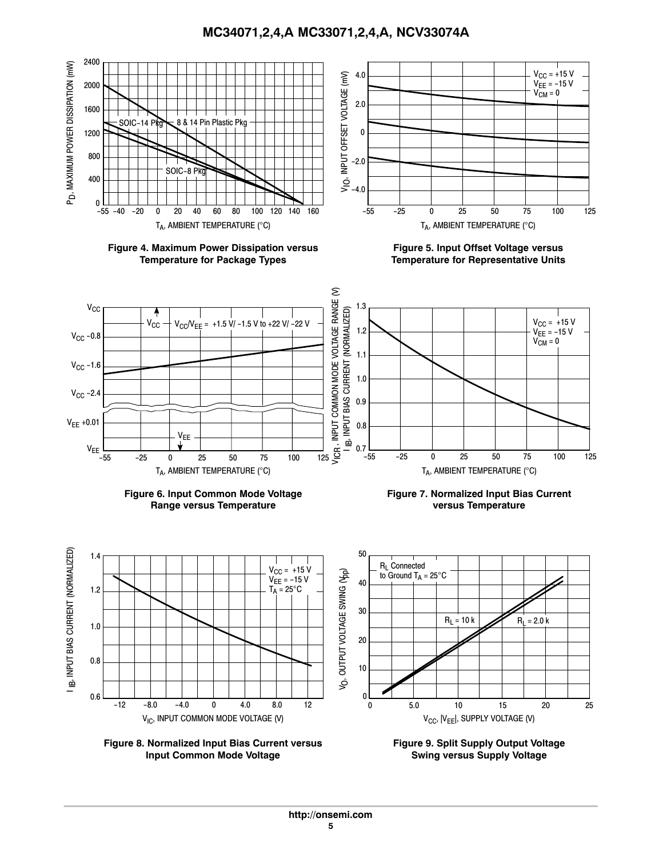**MC34071,2,4,A MC33071,2,4,A, NCV33074A**

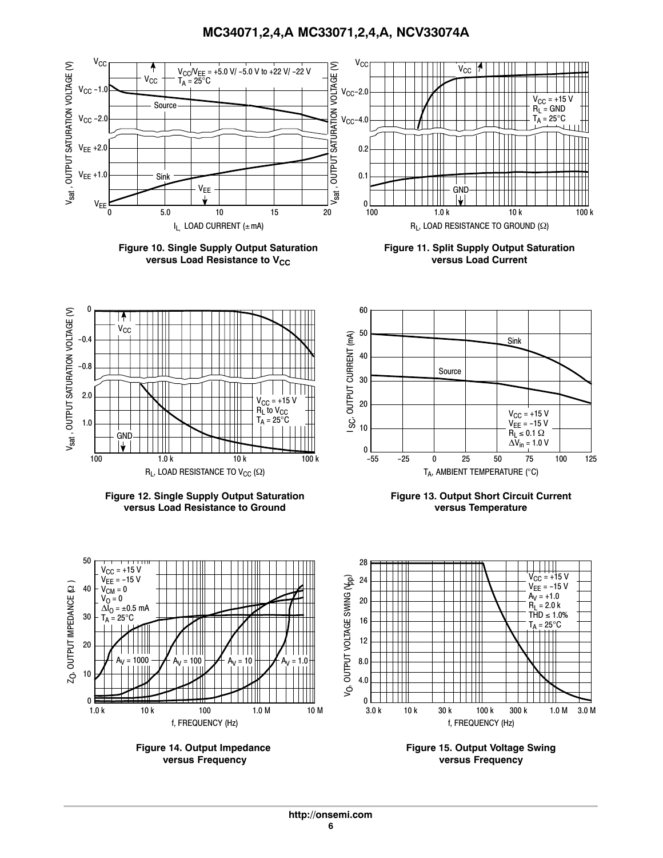

**Figure 14. Output Impedance versus Frequency**

**Figure 15. Output Voltage Swing versus Frequency**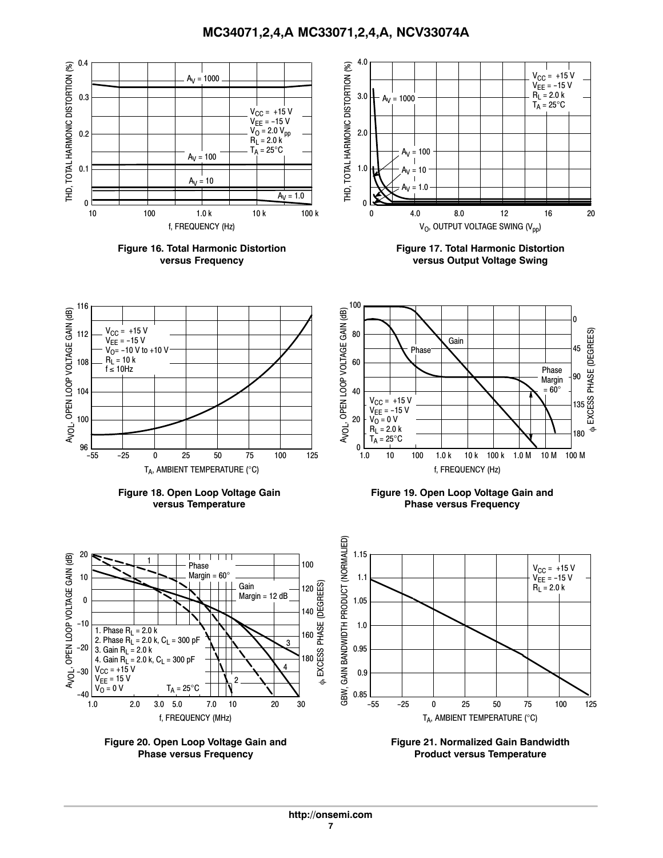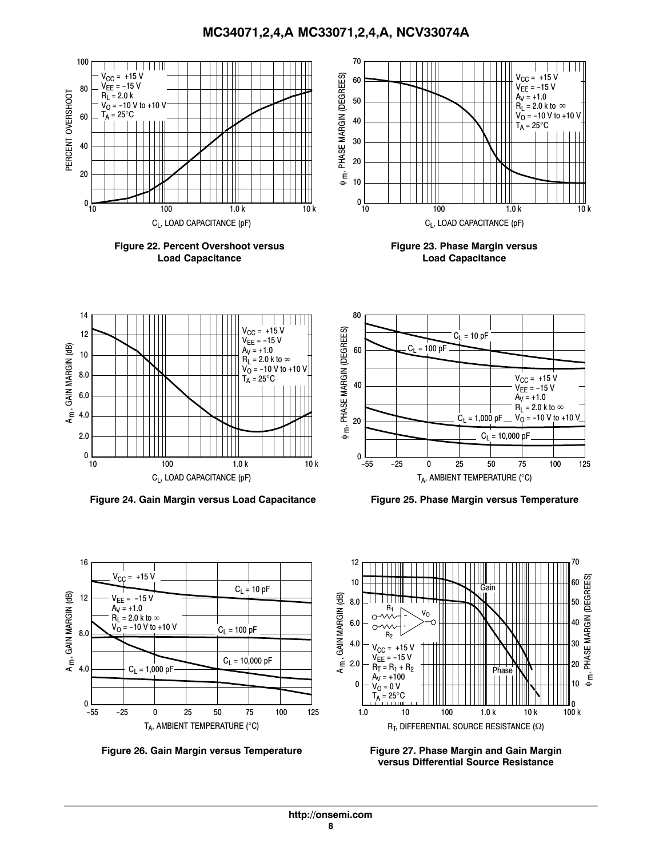



Figure 26. Gain Margin versus Temperature **Figure 27. Phase Margin and Gain Margin** 



**versus Differential Source Resistance**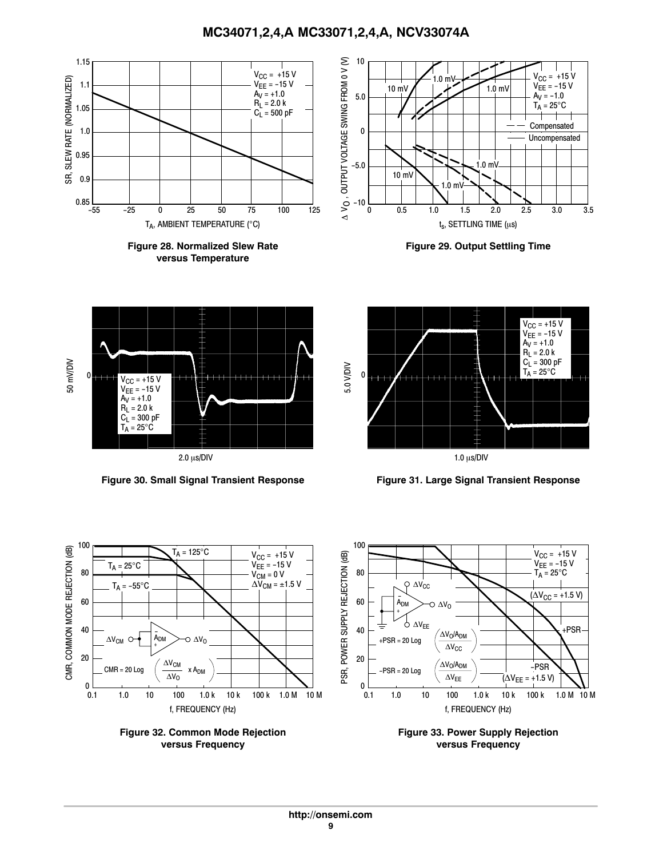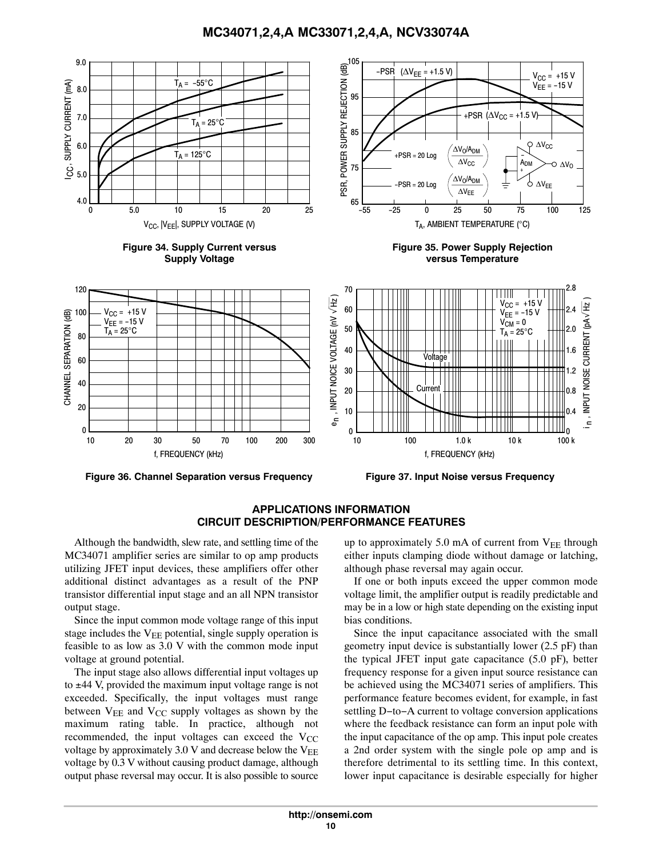**MC34071,2,4,A MC33071,2,4,A, NCV33074A**



**APPLICATIONS INFORMATION CIRCUIT DESCRIPTION/PERFORMANCE FEATURES**

Although the bandwidth, slew rate, and settling time of the MC34071 amplifier series are similar to op amp products utilizing JFET input devices, these amplifiers offer other additional distinct advantages as a result of the PNP transistor differential input stage and an all NPN transistor output stage.

Since the input common mode voltage range of this input stage includes the  $V_{EE}$  potential, single supply operation is feasible to as low as 3.0 V with the common mode input voltage at ground potential.

The input stage also allows differential input voltages up to ±44 V, provided the maximum input voltage range is not exceeded. Specifically, the input voltages must range between  $V_{EE}$  and  $V_{CC}$  supply voltages as shown by the maximum rating table. In practice, although not recommended, the input voltages can exceed the  $V_{CC}$ voltage by approximately 3.0 V and decrease below the  $V_{EE}$ voltage by 0.3 V without causing product damage, although output phase reversal may occur. It is also possible to source

up to approximately 5.0 mA of current from  $V_{EE}$  through either inputs clamping diode without damage or latching, although phase reversal may again occur.

If one or both inputs exceed the upper common mode voltage limit, the amplifier output is readily predictable and may be in a low or high state depending on the existing input bias conditions.

Since the input capacitance associated with the small geometry input device is substantially lower (2.5 pF) than the typical JFET input gate capacitance (5.0 pF), better frequency response for a given input source resistance can be achieved using the MC34071 series of amplifiers. This performance feature becomes evident, for example, in fast settling D−to−A current to voltage conversion applications where the feedback resistance can form an input pole with the input capacitance of the op amp. This input pole creates a 2nd order system with the single pole op amp and is therefore detrimental to its settling time. In this context, lower input capacitance is desirable especially for higher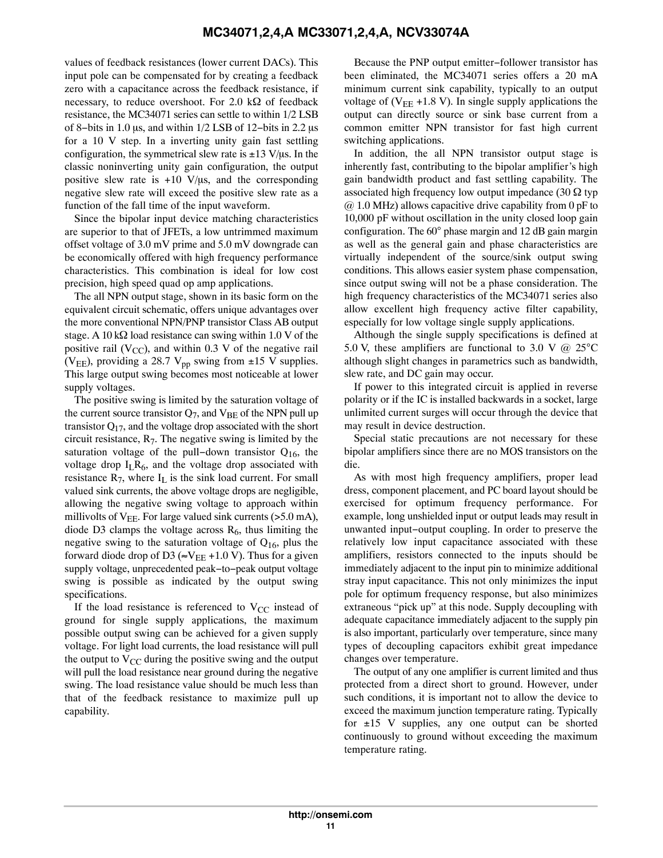values of feedback resistances (lower current DACs). This input pole can be compensated for by creating a feedback zero with a capacitance across the feedback resistance, if necessary, to reduce overshoot. For 2.0  $k\Omega$  of feedback resistance, the MC34071 series can settle to within 1/2 LSB of 8–bits in 1.0 µs, and within  $1/2$  LSB of 12–bits in 2.2 µs for a 10 V step. In a inverting unity gain fast settling configuration, the symmetrical slew rate is  $\pm 13 \text{ V/}\mu\text{s}$ . In the classic noninverting unity gain configuration, the output positive slew rate is  $+10 \text{ V/}\mu\text{s}$ , and the corresponding negative slew rate will exceed the positive slew rate as a function of the fall time of the input waveform.

Since the bipolar input device matching characteristics are superior to that of JFETs, a low untrimmed maximum offset voltage of 3.0 mV prime and 5.0 mV downgrade can be economically offered with high frequency performance characteristics. This combination is ideal for low cost precision, high speed quad op amp applications.

The all NPN output stage, shown in its basic form on the equivalent circuit schematic, offers unique advantages over the more conventional NPN/PNP transistor Class AB output stage. A 10 k $\Omega$  load resistance can swing within 1.0 V of the positive rail ( $V_{\text{CC}}$ ), and within 0.3 V of the negative rail (V<sub>EE</sub>), providing a 28.7 V<sub>pp</sub> swing from  $\pm$ 15 V supplies. This large output swing becomes most noticeable at lower supply voltages.

The positive swing is limited by the saturation voltage of the current source transistor  $Q_7$ , and  $V_{BE}$  of the NPN pull up transistor  $Q_{17}$ , and the voltage drop associated with the short circuit resistance,  $R_7$ . The negative swing is limited by the saturation voltage of the pull−down transistor Q16, the voltage drop  $I_L R_6$ , and the voltage drop associated with resistance  $R_7$ , where  $I_L$  is the sink load current. For small valued sink currents, the above voltage drops are negligible, allowing the negative swing voltage to approach within millivolts of  $V_{EE}$ . For large valued sink currents (>5.0 mA), diode D3 clamps the voltage across  $R_6$ , thus limiting the negative swing to the saturation voltage of  $Q_{16}$ , plus the forward diode drop of D3 ( $\approx$ V<sub>EE</sub> +1.0 V). Thus for a given supply voltage, unprecedented peak−to−peak output voltage swing is possible as indicated by the output swing specifications.

If the load resistance is referenced to  $V_{CC}$  instead of ground for single supply applications, the maximum possible output swing can be achieved for a given supply voltage. For light load currents, the load resistance will pull the output to  $V_{CC}$  during the positive swing and the output will pull the load resistance near ground during the negative swing. The load resistance value should be much less than that of the feedback resistance to maximize pull up capability.

Because the PNP output emitter−follower transistor has been eliminated, the MC34071 series offers a 20 mA minimum current sink capability, typically to an output voltage of ( $V_{EE}$  +1.8 V). In single supply applications the output can directly source or sink base current from a common emitter NPN transistor for fast high current switching applications.

In addition, the all NPN transistor output stage is inherently fast, contributing to the bipolar amplifier's high gain bandwidth product and fast settling capability. The associated high frequency low output impedance (30  $\Omega$  typ  $\omega$  1.0 MHz) allows capacitive drive capability from 0 pF to 10,000 pF without oscillation in the unity closed loop gain configuration. The 60° phase margin and 12 dB gain margin as well as the general gain and phase characteristics are virtually independent of the source/sink output swing conditions. This allows easier system phase compensation, since output swing will not be a phase consideration. The high frequency characteristics of the MC34071 series also allow excellent high frequency active filter capability, especially for low voltage single supply applications.

Although the single supply specifications is defined at 5.0 V, these amplifiers are functional to 3.0 V  $\omega$  25<sup>o</sup>C although slight changes in parametrics such as bandwidth, slew rate, and DC gain may occur.

If power to this integrated circuit is applied in reverse polarity or if the IC is installed backwards in a socket, large unlimited current surges will occur through the device that may result in device destruction.

Special static precautions are not necessary for these bipolar amplifiers since there are no MOS transistors on the die.

As with most high frequency amplifiers, proper lead dress, component placement, and PC board layout should be exercised for optimum frequency performance. For example, long unshielded input or output leads may result in unwanted input−output coupling. In order to preserve the relatively low input capacitance associated with these amplifiers, resistors connected to the inputs should be immediately adjacent to the input pin to minimize additional stray input capacitance. This not only minimizes the input pole for optimum frequency response, but also minimizes extraneous "pick up" at this node. Supply decoupling with adequate capacitance immediately adjacent to the supply pin is also important, particularly over temperature, since many types of decoupling capacitors exhibit great impedance changes over temperature.

The output of any one amplifier is current limited and thus protected from a direct short to ground. However, under such conditions, it is important not to allow the device to exceed the maximum junction temperature rating. Typically for  $\pm 15$  V supplies, any one output can be shorted continuously to ground without exceeding the maximum temperature rating.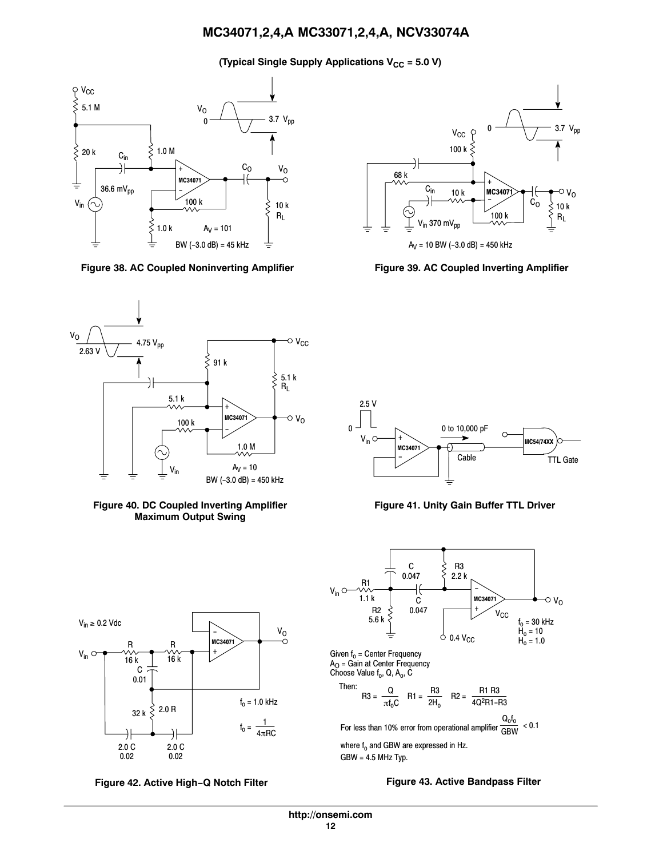**(Typical Single Supply Applications V<sub>CC</sub> = 5.0 V)** 



**Figure 38. AC Coupled Noninverting Amplifier Figure 39. AC Coupled Inverting Amplifier**













**Figure 41. Unity Gain Buffer TTL Driver**

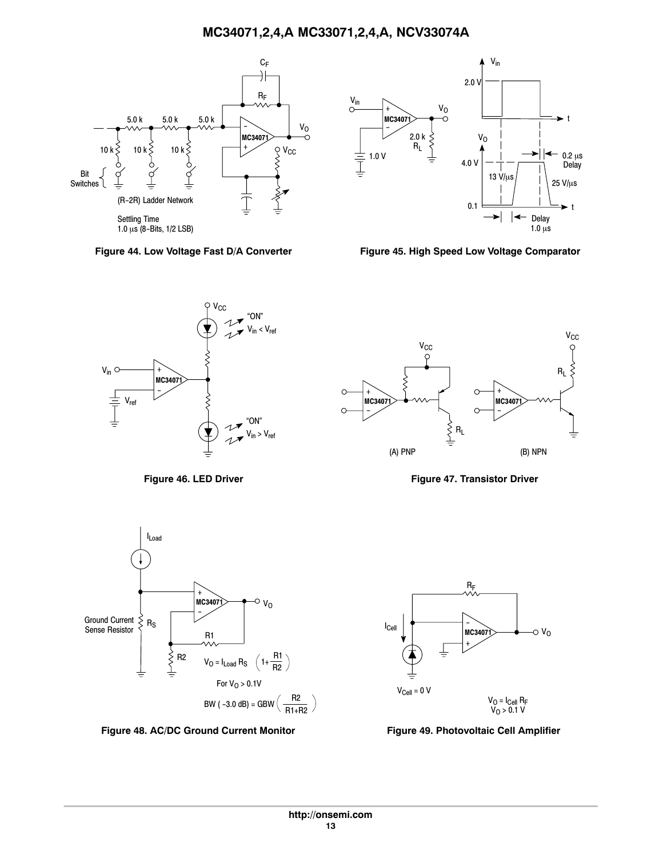



Figure 44. Low Voltage Fast D/A Converter Figure 45. High Speed Low Voltage Comparator





Figure 46. LED Driver **Figure 47. Transistor Driver** 



**Figure 48. AC/DC Ground Current Monitor Figure 49. Photovoltaic Cell Amplifier**



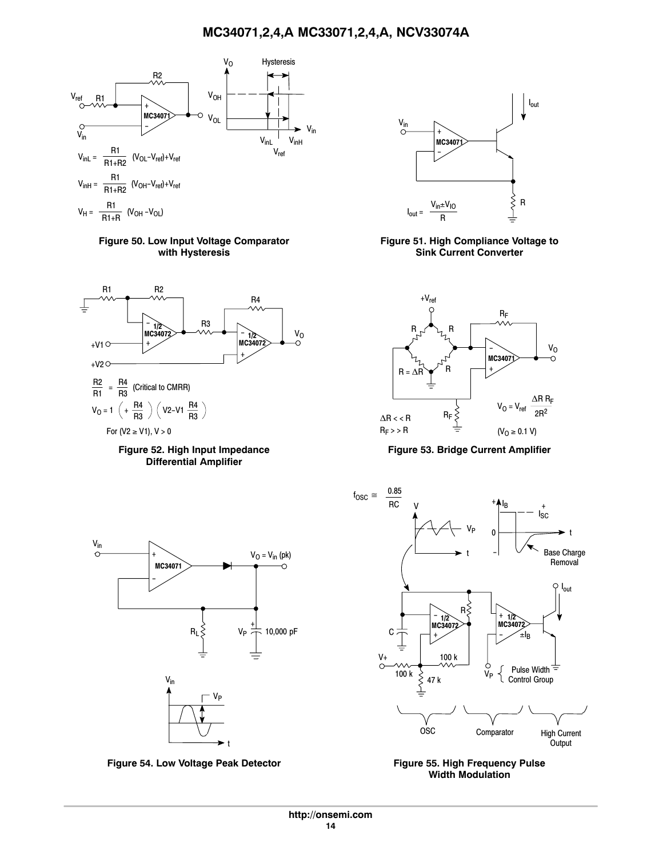

**Figure 50. Low Input Voltage Comparator with Hysteresis**







Figure 54. Low Voltage Peak Detector **Figure 55. High Frequency Pulse** 



**Figure 51. High Compliance Voltage to Sink Current Converter**



**Figure 53. Bridge Current Amplifier**



**Width Modulation**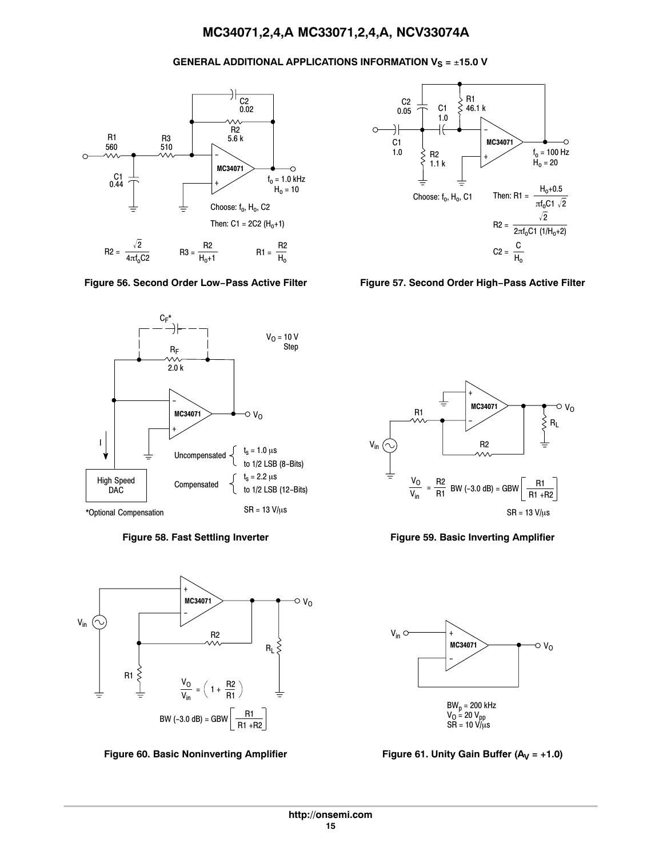# **GENERAL ADDITIONAL APPLICATIONS INFORMATION V<sub>S</sub> = ±15.0 V**









Figure 60. Basic Noninverting Amplifier Figure 61. Unity Gain Buffer (A<sub>V</sub> = +1.0)







**Figure 58. Fast Settling Inverter Figure 59. Basic Inverting Amplifier**

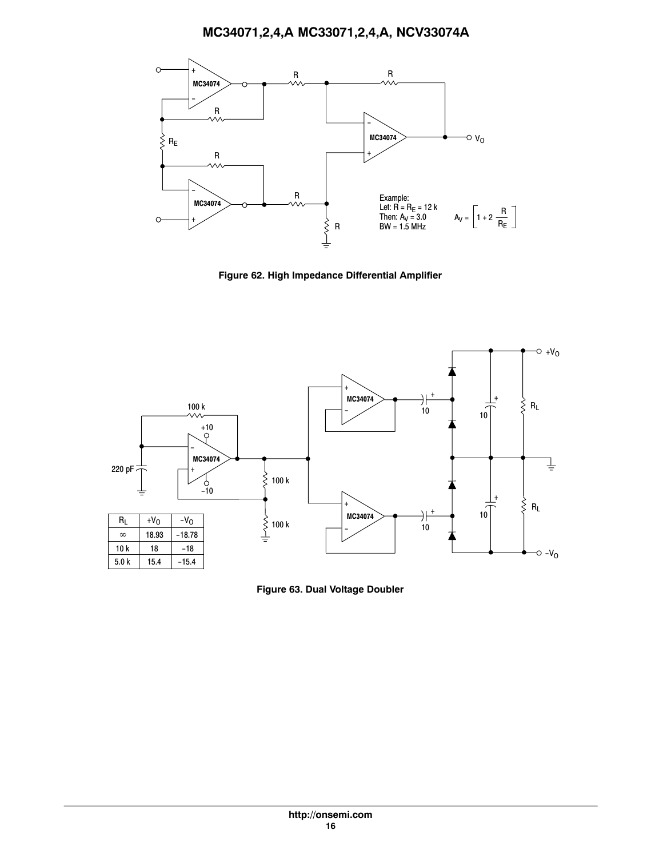

**Figure 62. High Impedance Differential Amplifier**



**Figure 63. Dual Voltage Doubler**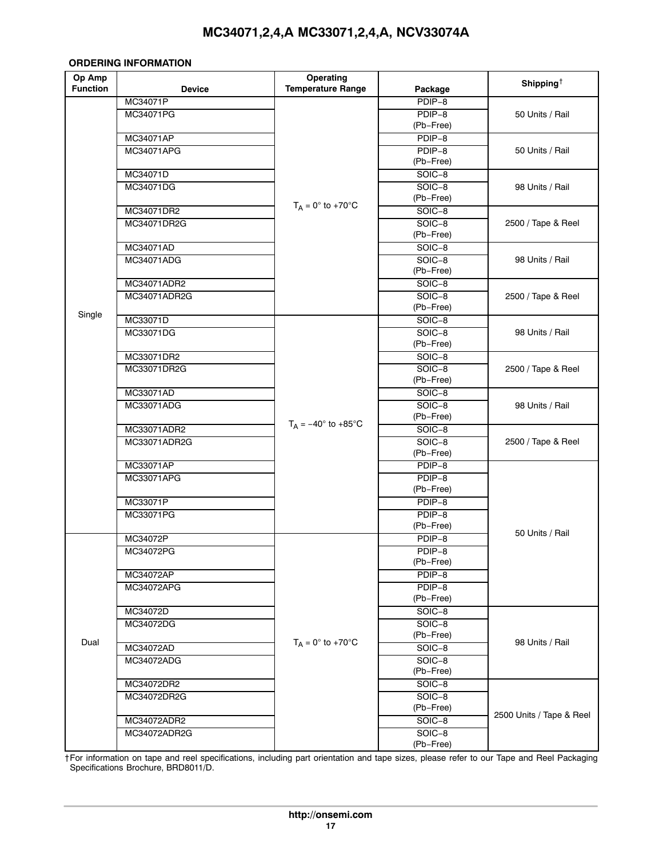#### <span id="page-17-0"></span>**ORDERING INFORMATION**

| Op Amp          |                           | Operating                         |                       | Shipping <sup><math>\dagger</math></sup> |
|-----------------|---------------------------|-----------------------------------|-----------------------|------------------------------------------|
| <b>Function</b> | <b>Device</b>             | <b>Temperature Range</b>          | Package               |                                          |
|                 | MC34071P                  |                                   | PDIP-8                |                                          |
|                 | MC34071PG                 |                                   | PDIP-8                | 50 Units / Rail                          |
|                 |                           |                                   | (Pb-Free)             |                                          |
|                 | MC34071AP                 |                                   | PDIP-8                |                                          |
|                 | MC34071APG                |                                   | PDIP-8                | 50 Units / Rail                          |
|                 |                           |                                   | (Pb-Free)             |                                          |
|                 | MC34071D<br>MC34071DG     |                                   | SOIC-8<br>SOIC-8      |                                          |
|                 |                           |                                   | (Pb-Free)             | 98 Units / Rail                          |
|                 | MC34071DR2                | $T_A = 0^\circ$ to +70 $^\circ$ C | $SOIC-8$              |                                          |
|                 | MC34071DR2G               |                                   | SOIC-8                | 2500 / Tape & Reel                       |
|                 |                           |                                   | (Pb-Free)             |                                          |
|                 | MC34071AD                 |                                   | SOIC-8                |                                          |
|                 | MC34071ADG                |                                   | $SOIC-8$              | 98 Units / Rail                          |
|                 |                           |                                   | (Pb-Free)             |                                          |
|                 | MC34071ADR2               |                                   | SOIC-8                |                                          |
|                 | MC34071ADR2G              |                                   | SOIC-8                | 2500 / Tape & Reel                       |
| Single          |                           |                                   | (Pb-Free)             |                                          |
|                 | MC33071D                  |                                   | SOIC-8                |                                          |
|                 | MC33071DG                 |                                   | $SOIC-8$              | 98 Units / Rail                          |
|                 |                           |                                   | (Pb-Free)             |                                          |
|                 | MC33071DR2<br>MC33071DR2G |                                   | SOIC-8                |                                          |
|                 |                           |                                   | $SOIC-8$<br>(Pb-Free) | 2500 / Tape & Reel                       |
|                 | MC33071AD                 |                                   | $SOIC-8$              |                                          |
|                 | MC33071ADG                |                                   | SOIC-8                | 98 Units / Rail                          |
|                 |                           |                                   | (Pb-Free)             |                                          |
|                 | MC33071ADR2               | $T_A = -40^\circ$ to +85°C        | SOIC-8                |                                          |
|                 | MC33071ADR2G              |                                   | $SOIC-8$              | 2500 / Tape & Reel                       |
|                 |                           |                                   | (Pb-Free)             |                                          |
|                 | MC33071AP                 |                                   | PDIP-8                |                                          |
|                 | MC33071APG                |                                   | PDIP-8                |                                          |
|                 |                           |                                   | (Pb-Free)             |                                          |
|                 | MC33071P                  |                                   | PDIP-8                |                                          |
|                 | MC33071PG                 |                                   | PDIP-8                |                                          |
|                 |                           |                                   | (Pb-Free)             | 50 Units / Rail                          |
|                 | MC34072P                  |                                   | PDIP-8                |                                          |
|                 | MC34072PG                 |                                   | PDIP-8                |                                          |
|                 | MC34072AP                 |                                   | (Pb-Free)<br>PDIP-8   |                                          |
|                 | MC34072APG                |                                   | PDIP-8                |                                          |
|                 |                           |                                   | (Pb-Free)             |                                          |
|                 | MC34072D                  |                                   | SOIC-8                |                                          |
|                 | MC34072DG                 |                                   | SOIC-8                |                                          |
|                 |                           |                                   | (Pb-Free)             |                                          |
| Dual            | MC34072AD                 | $T_A = 0^\circ$ to +70 $^\circ$ C | SOIC-8                | 98 Units / Rail                          |
|                 | MC34072ADG                |                                   | SOIC-8                |                                          |
|                 |                           |                                   | (Pb-Free)             |                                          |
|                 | MC34072DR2                |                                   | SOIC-8                |                                          |
|                 | MC34072DR2G               |                                   | $SOIC-8$              |                                          |
|                 |                           |                                   | (Pb-Free)             | 2500 Units / Tape & Reel                 |
|                 | MC34072ADR2               |                                   | SOIC-8                |                                          |
|                 | MC34072ADR2G              |                                   | $SOIC-8$              |                                          |
|                 |                           |                                   | (Pb-Free)             |                                          |

†For information on tape and reel specifications, including part orientation and tape sizes, please refer to our Tape and Reel Packaging Specifications Brochure, BRD8011/D.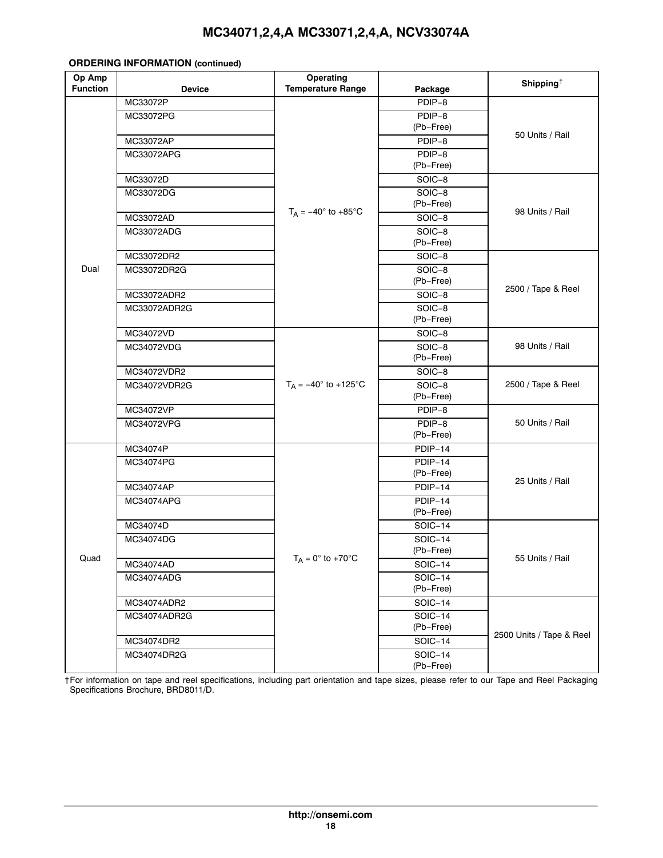#### **ORDERING INFORMATION (continued)**

| <b>Device</b><br>Package<br>MC33072P<br>PDIP-8<br>PDIP-8<br>MC33072PG<br>(Pb-Free)<br>50 Units / Rail<br>MC33072AP<br>PDIP-8<br>PDIP-8<br>MC33072APG<br>(Pb-Free)<br>MC33072D<br>SOIC-8<br>SOIC-8<br>MC33072DG<br>(Pb-Free)<br>$T_A = -40^\circ$ to +85 $^\circ$ C<br>98 Units / Rail<br>MC33072AD<br>SOIC-8<br>SOIC-8<br>MC33072ADG<br>(Pb-Free)<br>SOIC-8<br>MC33072DR2<br>Dual<br>SOIC-8<br>MC33072DR2G<br>(Pb-Free)<br>2500 / Tape & Reel<br>MC33072ADR2<br>SOIC-8<br>SOIC-8<br>MC33072ADR2G<br>(Pb-Free) | Op Amp          |           | Operating                     |        | Shipping <sup><math>\dagger</math></sup> |  |
|---------------------------------------------------------------------------------------------------------------------------------------------------------------------------------------------------------------------------------------------------------------------------------------------------------------------------------------------------------------------------------------------------------------------------------------------------------------------------------------------------------------|-----------------|-----------|-------------------------------|--------|------------------------------------------|--|
|                                                                                                                                                                                                                                                                                                                                                                                                                                                                                                               | <b>Function</b> |           | <b>Temperature Range</b>      |        |                                          |  |
|                                                                                                                                                                                                                                                                                                                                                                                                                                                                                                               |                 |           |                               |        |                                          |  |
|                                                                                                                                                                                                                                                                                                                                                                                                                                                                                                               |                 |           |                               |        |                                          |  |
|                                                                                                                                                                                                                                                                                                                                                                                                                                                                                                               |                 |           |                               |        |                                          |  |
|                                                                                                                                                                                                                                                                                                                                                                                                                                                                                                               |                 |           |                               |        |                                          |  |
|                                                                                                                                                                                                                                                                                                                                                                                                                                                                                                               |                 |           |                               |        |                                          |  |
|                                                                                                                                                                                                                                                                                                                                                                                                                                                                                                               |                 |           |                               |        |                                          |  |
|                                                                                                                                                                                                                                                                                                                                                                                                                                                                                                               |                 |           |                               |        |                                          |  |
|                                                                                                                                                                                                                                                                                                                                                                                                                                                                                                               |                 |           |                               |        |                                          |  |
|                                                                                                                                                                                                                                                                                                                                                                                                                                                                                                               |                 |           |                               |        |                                          |  |
|                                                                                                                                                                                                                                                                                                                                                                                                                                                                                                               |                 |           |                               |        |                                          |  |
|                                                                                                                                                                                                                                                                                                                                                                                                                                                                                                               |                 |           |                               |        |                                          |  |
|                                                                                                                                                                                                                                                                                                                                                                                                                                                                                                               |                 |           |                               |        |                                          |  |
|                                                                                                                                                                                                                                                                                                                                                                                                                                                                                                               |                 |           |                               |        |                                          |  |
|                                                                                                                                                                                                                                                                                                                                                                                                                                                                                                               |                 |           |                               |        |                                          |  |
|                                                                                                                                                                                                                                                                                                                                                                                                                                                                                                               |                 |           |                               |        |                                          |  |
|                                                                                                                                                                                                                                                                                                                                                                                                                                                                                                               |                 |           |                               |        |                                          |  |
|                                                                                                                                                                                                                                                                                                                                                                                                                                                                                                               |                 |           |                               |        |                                          |  |
|                                                                                                                                                                                                                                                                                                                                                                                                                                                                                                               |                 |           |                               |        |                                          |  |
|                                                                                                                                                                                                                                                                                                                                                                                                                                                                                                               |                 | MC34072VD |                               | SOIC-8 |                                          |  |
| SOIC-8<br>98 Units / Rail<br>MC34072VDG                                                                                                                                                                                                                                                                                                                                                                                                                                                                       |                 |           |                               |        |                                          |  |
| (Pb-Free)                                                                                                                                                                                                                                                                                                                                                                                                                                                                                                     |                 |           |                               |        |                                          |  |
| MC34072VDR2<br>SOIC-8                                                                                                                                                                                                                                                                                                                                                                                                                                                                                         |                 |           | $T_A = -40^{\circ}$ to +125°C |        |                                          |  |
| 2500 / Tape & Reel<br>SOIC-8<br>MC34072VDR2G                                                                                                                                                                                                                                                                                                                                                                                                                                                                  |                 |           |                               |        |                                          |  |
| (Pb-Free)                                                                                                                                                                                                                                                                                                                                                                                                                                                                                                     |                 |           |                               |        |                                          |  |
| MC34072VP<br>PDIP-8                                                                                                                                                                                                                                                                                                                                                                                                                                                                                           |                 |           |                               |        | 50 Units / Rail                          |  |
| PDIP-8<br>MC34072VPG                                                                                                                                                                                                                                                                                                                                                                                                                                                                                          |                 |           |                               |        |                                          |  |
| (Pb-Free)                                                                                                                                                                                                                                                                                                                                                                                                                                                                                                     |                 |           |                               |        |                                          |  |
| MC34074P<br>PDIP-14                                                                                                                                                                                                                                                                                                                                                                                                                                                                                           |                 |           |                               |        |                                          |  |
| PDIP-14<br>MC34074PG                                                                                                                                                                                                                                                                                                                                                                                                                                                                                          |                 |           |                               |        |                                          |  |
| (Pb-Free)<br>25 Units / Rail                                                                                                                                                                                                                                                                                                                                                                                                                                                                                  |                 |           |                               |        |                                          |  |
| MC34074AP<br>PDIP-14                                                                                                                                                                                                                                                                                                                                                                                                                                                                                          |                 |           |                               |        |                                          |  |
| PDIP-14<br>MC34074APG                                                                                                                                                                                                                                                                                                                                                                                                                                                                                         |                 |           |                               |        |                                          |  |
| (Pb-Free)                                                                                                                                                                                                                                                                                                                                                                                                                                                                                                     |                 |           |                               |        |                                          |  |
| MC34074D<br>SOIC-14                                                                                                                                                                                                                                                                                                                                                                                                                                                                                           |                 |           |                               |        |                                          |  |
| MC34074DG<br><b>SOIC-14</b>                                                                                                                                                                                                                                                                                                                                                                                                                                                                                   |                 |           |                               |        |                                          |  |
| (Pb-Free)<br>Quad<br>$T_A = 0^\circ$ to +70°C<br>55 Units / Rail                                                                                                                                                                                                                                                                                                                                                                                                                                              |                 |           |                               |        |                                          |  |
| $SOIC-14$<br>MC34074AD                                                                                                                                                                                                                                                                                                                                                                                                                                                                                        |                 |           |                               |        |                                          |  |
| <b>SOIC-14</b><br>MC34074ADG<br>(Pb-Free)                                                                                                                                                                                                                                                                                                                                                                                                                                                                     |                 |           |                               |        |                                          |  |
|                                                                                                                                                                                                                                                                                                                                                                                                                                                                                                               |                 |           |                               |        |                                          |  |
| MC34074ADR2<br><b>SOIC-14</b>                                                                                                                                                                                                                                                                                                                                                                                                                                                                                 |                 |           |                               |        |                                          |  |
| MC34074ADR2G<br><b>SOIC-14</b>                                                                                                                                                                                                                                                                                                                                                                                                                                                                                |                 |           |                               |        |                                          |  |
| (Pb-Free)<br>2500 Units / Tape & Reel                                                                                                                                                                                                                                                                                                                                                                                                                                                                         |                 |           |                               |        |                                          |  |
| MC34074DR2<br><b>SOIC-14</b>                                                                                                                                                                                                                                                                                                                                                                                                                                                                                  |                 |           |                               |        |                                          |  |
| MC34074DR2G<br><b>SOIC-14</b><br>(Pb-Free)                                                                                                                                                                                                                                                                                                                                                                                                                                                                    |                 |           |                               |        |                                          |  |

†For information on tape and reel specifications, including part orientation and tape sizes, please refer to our Tape and Reel Packaging Specifications Brochure, BRD8011/D.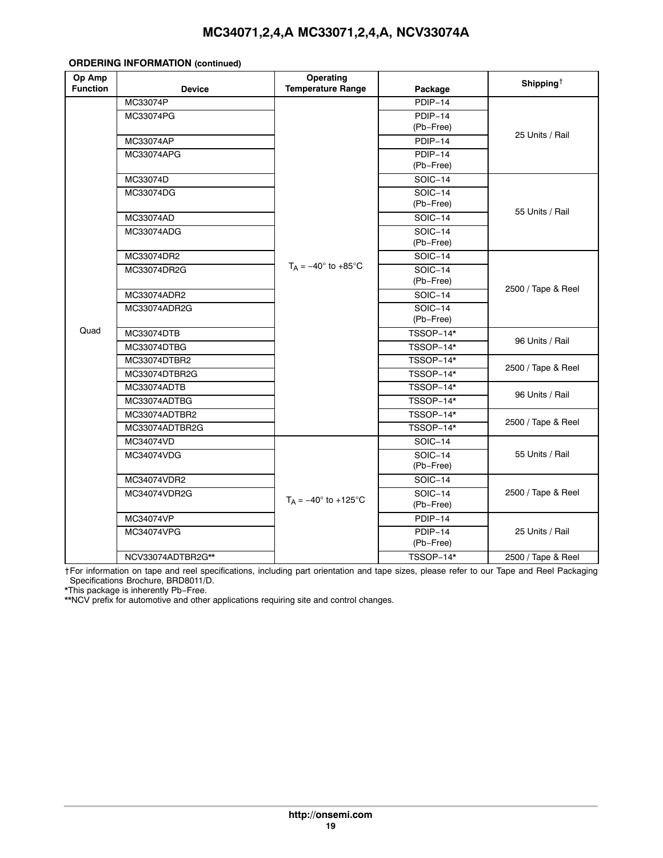#### **ORDERING INFORMATION (continued)**

| Op Amp<br><b>Function</b> | <b>Device</b>           | Operating<br><b>Temperature Range</b> | Package        | Shipping <sup><math>\dagger</math></sup> |  |
|---------------------------|-------------------------|---------------------------------------|----------------|------------------------------------------|--|
|                           | MC33074P                |                                       | PDIP-14        |                                          |  |
|                           | MC33074PG               |                                       | PDIP-14        |                                          |  |
|                           |                         |                                       | (Pb-Free)      |                                          |  |
|                           | MC33074AP               |                                       | PDIP-14        | 25 Units / Rail                          |  |
|                           | MC33074APG              |                                       | PDIP-14        |                                          |  |
|                           |                         |                                       | (Pb-Free)      |                                          |  |
|                           | MC33074D                |                                       | <b>SOIC-14</b> |                                          |  |
|                           | MC33074DG               |                                       | <b>SOIC-14</b> |                                          |  |
|                           |                         |                                       | (Pb-Free)      | 55 Units / Rail                          |  |
|                           | MC33074AD               |                                       | <b>SOIC-14</b> |                                          |  |
|                           | MC33074ADG              |                                       | <b>SOIC-14</b> |                                          |  |
|                           |                         |                                       | (Pb-Free)      |                                          |  |
|                           | MC33074DR2              |                                       | <b>SOIC-14</b> |                                          |  |
|                           | MC33074DR2G             | $T_A = -40^\circ$ to +85 $^\circ$ C   | <b>SOIC-14</b> | 2500 / Tape & Reel                       |  |
|                           |                         |                                       | (Pb-Free)      |                                          |  |
|                           | MC33074ADR2             |                                       | SOIC-14        |                                          |  |
|                           | MC33074ADR2G            |                                       | <b>SOIC-14</b> |                                          |  |
| Quad                      |                         |                                       | (Pb-Free)      |                                          |  |
|                           | MC33074DTB<br>TSSOP-14* |                                       |                | 96 Units / Rail                          |  |
|                           | MC33074DTBG             |                                       | TSSOP-14*      |                                          |  |
|                           | MC33074DTBR2            |                                       | TSSOP-14*      | 2500 / Tape & Reel<br>96 Units / Rail    |  |
|                           | MC33074DTBR2G           |                                       | TSSOP-14*      |                                          |  |
|                           | MC33074ADTB             |                                       | TSSOP-14*      |                                          |  |
|                           | MC33074ADTBG            |                                       | TSSOP-14*      |                                          |  |
|                           | MC33074ADTBR2           |                                       | TSSOP-14*      | 2500 / Tape & Reel                       |  |
|                           | MC33074ADTBR2G          |                                       | TSSOP-14*      |                                          |  |
|                           | MC34074VD               |                                       | <b>SOIC-14</b> |                                          |  |
|                           | MC34074VDG              |                                       | <b>SOIC-14</b> | 55 Units / Rail                          |  |
|                           |                         |                                       | (Pb-Free)      |                                          |  |
|                           | MC34074VDR2             |                                       | <b>SOIC-14</b> |                                          |  |
|                           | MC34074VDR2G            | $T_A = -40^{\circ}$ to +125°C         | <b>SOIC-14</b> | 2500 / Tape & Reel                       |  |
|                           |                         |                                       | (Pb-Free)      |                                          |  |
|                           | MC34074VP               |                                       | PDIP-14        |                                          |  |
|                           | MC34074VPG              |                                       | PDIP-14        | 25 Units / Rail                          |  |
|                           |                         |                                       | (Pb-Free)      |                                          |  |
|                           | NCV33074ADTBR2G**       |                                       | TSSOP-14*      | 2500 / Tape & Reel                       |  |

†For information on tape and reel specifications, including part orientation and tape sizes, please refer to our Tape and Reel Packaging Specifications Brochure, BRD8011/D.

\*This package is inherently Pb−Free.

\*\*NCV prefix for automotive and other applications requiring site and control changes.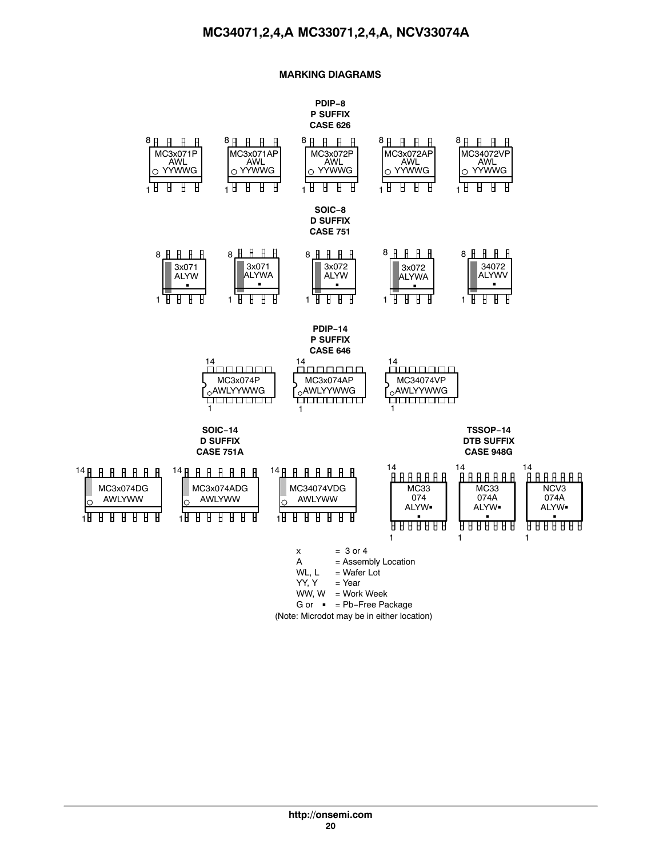#### **MARKING DIAGRAMS**

#### **PDIP−8 P SUFFIX CASE 626**

<span id="page-20-0"></span>

lo.

(Note: Microdot may be in either location)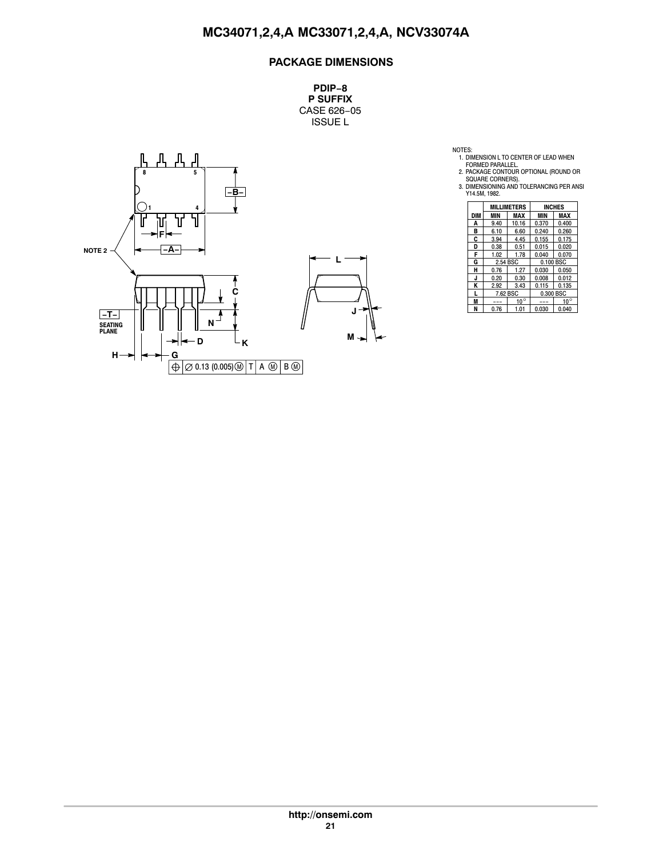# **PACKAGE DIMENSIONS**

**PDIP−8 P SUFFIX** CASE 626−05 ISSUE L



NOTES:<br>
1. DIMENSION L TO CENTER OF LEAD WHEN<br>
FORMED PARALLEL<br>
2. PACKAGE CONTOUR OPTIONAL (ROUND OR<br>
SQUARE CORNERS).<br>
3. DIMENSIONING AND TOLERANCING PER ANSI<br>
3. DIMENSIONING AND TOLERANCING PER ANSI<br>
Y14.5M, 1982.

|     | <b>MILLIMETERS</b> |              |            | <b>INCHES</b> |  |
|-----|--------------------|--------------|------------|---------------|--|
| DIM | MIN                | MAX          | <b>MIN</b> | MAX           |  |
| A   | 9.40               | 10.16        | 0.370      | 0.400         |  |
| в   | 6.10               | 6.60         | 0.240      | 0.260         |  |
| C   | 3.94               | 4.45         | 0.155      | 0.175         |  |
| D   | 0.38               | 0.51         | 0.015      | 0.020         |  |
| F   | 1.02               | 1.78         | 0.040      | 0.070         |  |
| G   | 2.54 BSC           |              | 0.100 BSC  |               |  |
| н   | 0.76               | 1.27         | 0.030      | 0.050         |  |
| J   | 0.20               | 0.30         | 0.008      | 0.012         |  |
| Κ   | 2.92               | 3.43         | 0.115      | 0.135         |  |
|     | 7.62 BSC           |              |            | 0.300 BSC     |  |
| M   |                    | $10^{\circ}$ |            | $10^{\circ}$  |  |
| Ν   | 0.76               | 1.01         | 0.030      | 0.040         |  |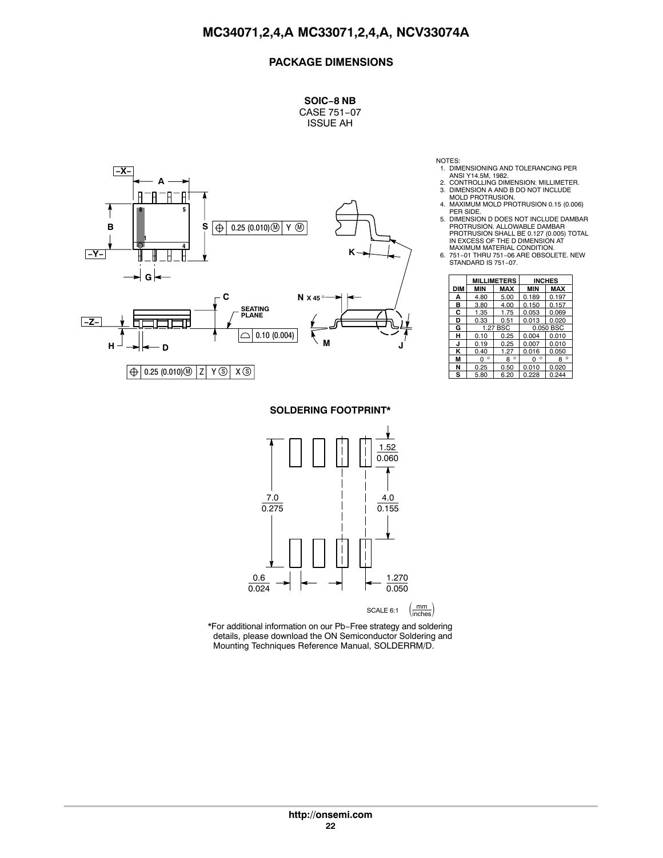# **PACKAGE DIMENSIONS**

**SOIC−8 NB** CASE 751−07 ISSUE AH



NOTES:

- 1. DIMENSIONING AND TOLERANCING PER ANSI Y14.5M, 1982.
- 2. CONTROLLING DIMENSION: MILLIMETER.<br>3. DIMENSION A AND B DO NOT INCLUDE
- 3. DIMENSION A AND B DO NOT INCLUDE MOLD PROTRUSION.
- 4. MAXIMUM MOLD PROTRUSION 0.15 (0.006) PER SIDE.
- 5. DIMENSION D DOES NOT INCLUDE DAMBAR PROTRUSION. ALLOWABLE DAMBAR PROTRUSION SHALL BE 0.127 (0.005) TOTAL IN EXCESS OF THE D DIMENSION AT
- MAXIMUM MATERIAL CONDITION. 6. 751−01 THRU 751−06 ARE OBSOLETE. NEW STANDARD IS 751−07.

|            | <b>MILLIMETERS</b> |              |              | <b>INCHES</b> |
|------------|--------------------|--------------|--------------|---------------|
| <b>DIM</b> | <b>MIN</b>         | <b>MAX</b>   | <b>MIN</b>   | <b>MAX</b>    |
| А          | 4.80               | 5.00         | 0.189        | 0.197         |
| в          | 3.80               | 4.00         | 0.150        | 0.157         |
| C          | 1.35               | 1.75         | 0.053        | 0.069         |
| D          | 0.33               | 0.51         | 0.013        | 0.020         |
| G          |                    | 1.27 BSC     | 0.050 BSC    |               |
| н          | 0.10               | 0.25         | 0.004        | 0.010         |
| J          | 0.19               | 0.25         | 0.007        | 0.010         |
| κ          | 0.40               | 1.27         | 0.016        | 0.050         |
| M          | o<br>0             | $\circ$<br>8 | $\circ$<br>0 | ٥<br>8        |
| N          | 0.25               | 0.50         | 0.010        | 0.020         |
| s          | 5.80               | 6.20         | 0.228        | 0.244         |

**SOLDERING FOOTPRINT\***



\*For additional information on our Pb−Free strategy and soldering details, please download the ON Semiconductor Soldering and Mounting Techniques Reference Manual, SOLDERRM/D.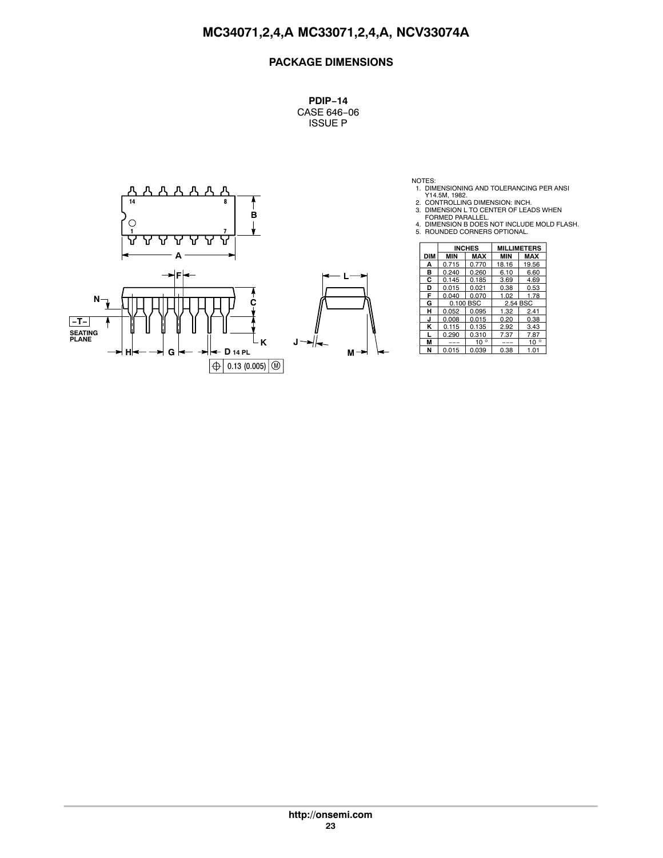# **PACKAGE DIMENSIONS**

**PDIP−14** CASE 646−06 ISSUE P



NOTES:<br>
1. DIMENSIONING AND TOLERANCING PER ANSI<br>
2. CONTROLLING DIMENSION: INCH.<br>
3. DIMENSION L TO CENTER OF LEADS WHEN<br>
FORMED PARALLEL.<br>
4. DIMENSION B DOES NOT INCLUDE MOLD FLASH.<br>
5. ROUNDED CORNERS OPTIONAL.

- 
- 

|            | <b>INCHES</b> |              | <b>MILLIMETERS</b> |              |  |
|------------|---------------|--------------|--------------------|--------------|--|
| <b>DIM</b> | <b>MIN</b>    | <b>MAX</b>   | <b>MIN</b>         | <b>MAX</b>   |  |
| A          | 0.715         | 0.770        | 18.16              | 19.56        |  |
| в          | 0.240         | 0.260        | 6.10               | 6.60         |  |
| С          | 0.145         | 0.185        | 3.69               | 4.69         |  |
| D          | 0.015         | 0.021        | 0.38               | 0.53         |  |
| F          | 0.040         | 0.070        | 1.02               | 1.78         |  |
| G          |               | 0.100 BSC    | 2.54 BSC           |              |  |
| н          | 0.052         | 0.095        | 1.32               | 2.41         |  |
| J          | 0.008         | 0.015        | 0.20               | 0.38         |  |
| κ          | 0.115         | 0.135        | 2.92               | 3.43         |  |
|            | 0.290         | 0.310        | 7.37               | 7.87         |  |
| M          | ---           | $10^{\circ}$ | ---                | $10^{\circ}$ |  |
| N          | 0.015         | 0.039        | 0.38               | 1.01         |  |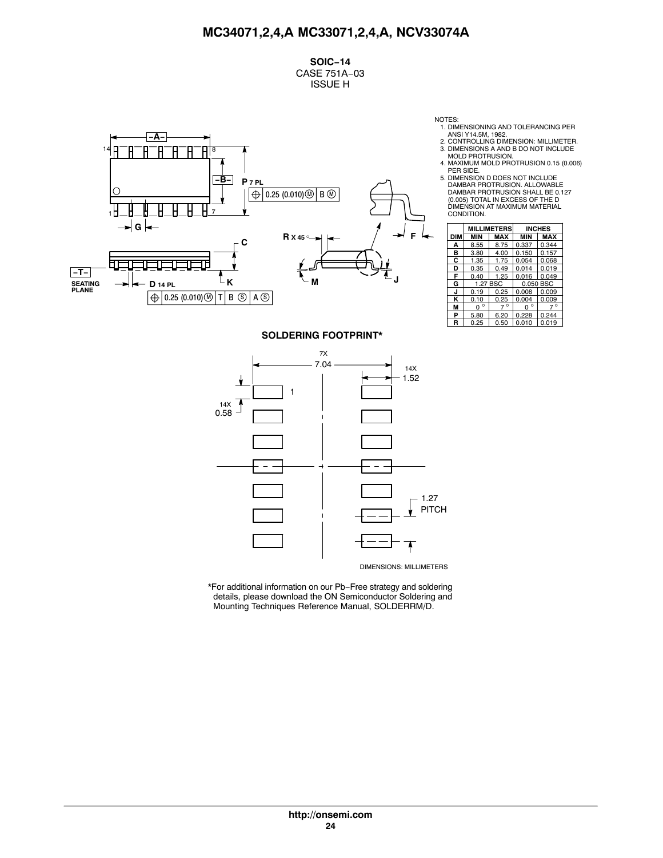**SOIC−14** CASE 751A−03 ISSUE H



NOTES: 1. DIMENSIONING AND TOLERANCING PER

ANSI Y14.5M, 1982. 2. CONTROLLING DIMENSION: MILLIMETER.

3. DIMENSIONS A AND B DO NOT INCLUDE MOLD PROTRUSION. 4. MAXIMUM MOLD PROTRUSION 0.15 (0.006)

PER SIDE. 5. DIMENSION D DOES NOT INCLUDE DAMBAR PROTRUSION. ALLOWABLE DAMBAR PROTRUSION SHALL BE 0.127 (0.005) TOTAL IN EXCESS OF THE D DIMENSION AT MAXIMUM MATERIAL CONDITION.

|     | <b>MILLIMETERS</b> |             |              | <b>INCHES</b> |  |
|-----|--------------------|-------------|--------------|---------------|--|
| DIM | <b>MIN</b>         | <b>MAX</b>  | <b>MIN</b>   | <b>MAX</b>    |  |
| А   | 8.55               | 8.75        | 0.337        | 0.344         |  |
| в   | 3.80               | 4.00        | 0.150        | 0.157         |  |
| C   | 1.35               | 1.75        | 0.054        | 0.068         |  |
| D   | 0.35               | 0.49        | 0.014        | 0.019         |  |
| F   | 0.40               | 1.25        | 0.016        | 0.049         |  |
| G   |                    | 1.27 BSC    | 0.050 BSC    |               |  |
| J   | 0.19               | 0.25        | 0.008        | 0.009         |  |
| κ   | 0.10               | 0.25        | 0.004        | 0.009         |  |
| М   | $\circ$<br>n       | $7^{\circ}$ | $\circ$<br>O | $7^{\circ}$   |  |
| P   | 5.80               | 6.20        | 0.228        | 0.244         |  |
| R   | 0.25               | 0.50        | 0.010        | 0.019         |  |

#### **SOLDERING FOOTPRINT\***



\*For additional information on our Pb−Free strategy and soldering details, please download the ON Semiconductor Soldering and Mounting Techniques Reference Manual, SOLDERRM/D.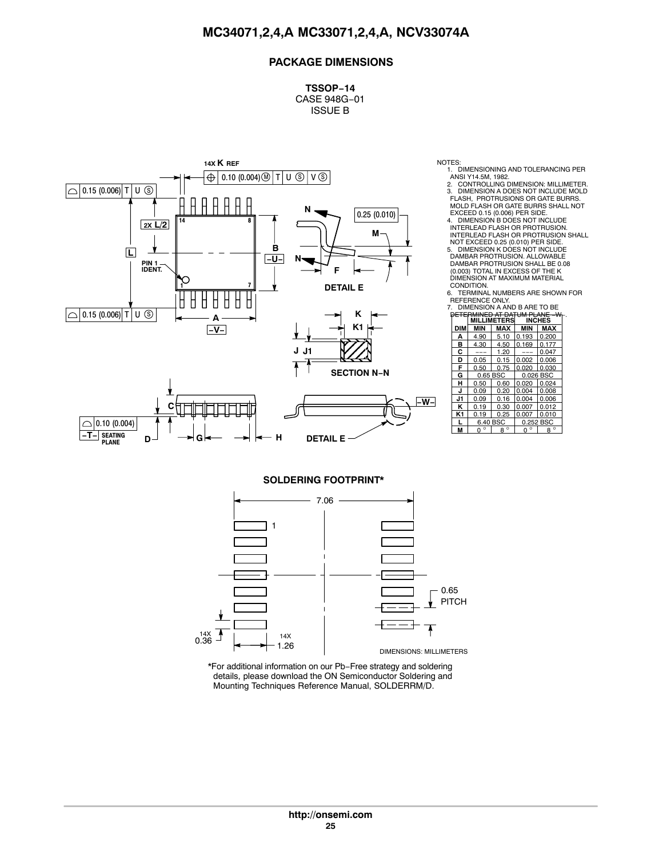# **PACKAGE DIMENSIONS**

**TSSOP−14** CASE 948G−01 ISSUE B



- NOTES:<br>1. DIMENSIONING AND TOLERANCING PER
	-
	- 1. DIMENSIONING AND TOLERANCING PER<br>
	ANSI Y14.5M, 1982.<br>
	2. CONTROLLING DIMENSION: MILLIMETER.<br>
	3. DIMENSION A DOES NOT INCLUDE MOLD<br>
	FLASH, PROTRUSIONS OR GATE BURRS.<br>
	MOLD FLASH OR GATE BURRS SHALL NOT<br>
	EXCEED 0.15 (0.00

NOT EXCEED 0.25 (0.010) PER SIDE. 5. DIMENSION K DOES NOT INCLUDE DAMBAR PROTRUSION. ALLOWABLE DAMBAR PROTRUSION SHALL BE 0.08 (0.003) TOTAL IN EXCESS OF THE K DIMENSION AT MAXIMUM MATERIAL

CONDITION. 6. TERMINAL NUMBERS ARE SHOWN FOR REFERENCE ONLY. 7. DIMENSION A AND B ARE TO BE

| DIMENSION A AND B ARE TO BE    |  |
|--------------------------------|--|
| PETERMINED AT DATUM PLANE - W- |  |

| DE∓            |          |                    | AT DATHM PLANE | ىمد         |
|----------------|----------|--------------------|----------------|-------------|
|                |          | <b>MILLIMETERS</b> | <b>INCHES</b>  |             |
| DIM            | MIN      | <b>MAX</b>         | MIN            | <b>MAX</b>  |
| А              | 4.90     | 5.10               | 0.193          | 0.200       |
| B              | 4.30     | 4.50               | 0.169          | 0.177       |
| c              | ---      | 1.20               |                | 0.047       |
| D              | 0.05     | 0.15               | 0.002          | 0.006       |
| F              | 0.50     | 0.75               | 0.020          | 0.030       |
| G              | 0.65 BSC |                    | 0.026 BSC      |             |
| н              | 0.50     | 0.60               | 0.020          | 0.024       |
| J              | 0.09     | 0.20               | 0.004          | 0.008       |
| J1             | 0.09     | 0.16               | 0.004          | 0.006       |
| ĸ              | 0.19     | 0.30               | 0.007          | 0.012       |
| K <sub>1</sub> | 0.19     | 0.25               | 0.007          | 0.010       |
|                | 6.40 BSC |                    | 0.252 BSC      |             |
| М              | ٥<br>0   | $8^{\circ}$        | n              | $8^{\circ}$ |

#### **SOLDERING FOOTPRINT\***